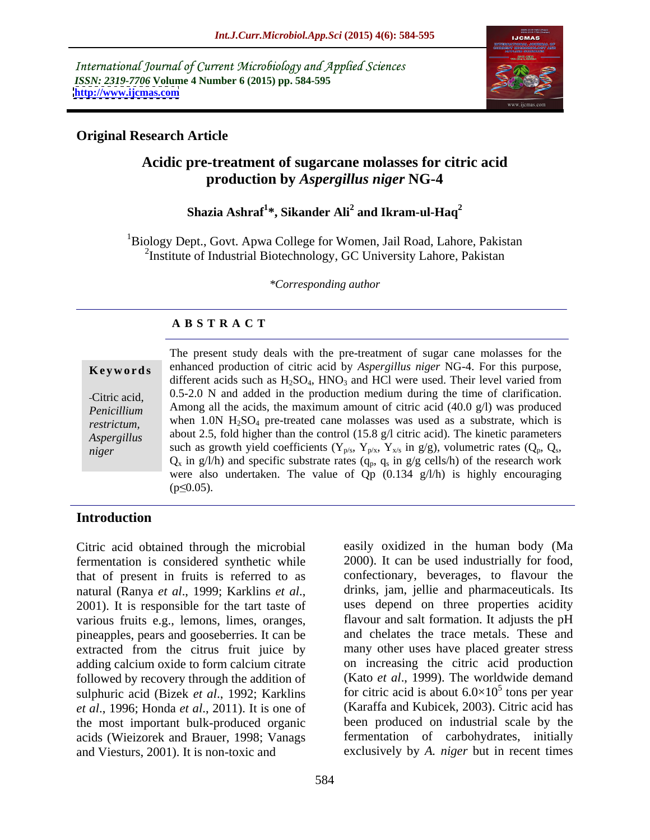International Journal of Current Microbiology and Applied Sciences *ISSN: 2319-7706* **Volume 4 Number 6 (2015) pp. 584-595 <http://www.ijcmas.com>**



# **Original Research Article**

# **Acidic pre-treatment of sugarcane molasses for citric acid production by** *Aspergillus niger* **NG-4**

### $\boldsymbol{\mathrm{Shazia}}$  Ashraf $^{1*}$ , Sikander Ali $^{2}$  and Ikram-ul-Haq $^{2}$  **and Ikram-ul-Haq<sup>2</sup>**

<sup>1</sup>Biology Dept., Govt. Apwa College for Women, Jail Road, Lahore, Pakistan <sup>2</sup>Institute of Industrial Biotechnology, GC University Lahore, Pakistan

*\*Corresponding author*

# **A B S T R A C T**

The present study deals with the pre-treatment of sugar cane molasses for the enhanced production of citric acid by *Aspergillus niger* NG-4. For this purpose, different acids such as  $H_2SO_4$ ,  $HNO_3$  and  $HCl$  were used. Their level varied from Citric acid,  $0.5-2.0$  N and added in the production medium during the time of clarification. Among all the acids, the maximum amount of citric acid (40.0 g/l) was produced *Penicillium*  restrictum, when 1.0N H<sub>2</sub>SO<sub>4</sub> pre-treated cane molasses was used as a substrate, which is about 2.5, fold higher than the control (15.8 g/l citric acid). The kinetic parameters *Aspergillus*  such as growth yield coefficients  $(Y_{p/s}, Y_{p/x}, Y_{x/s}$  in  $g/g$ ), volumetric rates  $(Q_p, Q_s, Q_x)$  in  $g/l/h$ ) and specific substrate rates  $(q_p, q_s)$  in  $g/g$  cells/h) of the research work  $Q_x$  in g/l/h) and specific substrate rates  $(q_p, q_s \text{ in } g/g \text{ cells/h})$  of the research work were also undertaken. The value of Qp (0.134 g/l/h) is highly encouraging **Keywords**<br>
enhanced production of citric acid by Aspergitius niger NG-4. For this purpose,<br>
different acids such as H<sub>2</sub>SO<sub>4</sub>, HNO<sub>3</sub> and HCl were used. Their level varied from<br>
Citric acid,<br>
0.5-2.0 N and added in the p *niger*

# **Introduction**

Citric acid obtained through the microbial fermentation is considered synthetic while various fruits e.g., lemons, limes, oranges, extracted from the citrus fruit juice by adding calcium oxide to form calcium citrate followed by recovery through the addition of sulphuric acid (Bizek *et al*., 1992; Karklins *et al*., 1996; Honda *et al*., 2011). It is one of the most important bulk-produced organic acids (Wieizorek and Brauer, 1998; Vanags and Viesturs, 2001). It is non-toxic and exclusively by *A. niger* but in recent times

that of present in fruits is referred to as confectionary, beverages, to flavour the natural (Ranya *et al.*, 1999; Karklins *et al.*, drinks, jam, jellie and pharmaceuticals. Its<br>2001). It is responsible for the tart taste of uses depend on three properties acidity pineapples, pears and gooseberries. It can be and chelates the trace metals. These and easily oxidized in the human body (Ma 2000). It can be used industrially for food, drinks, jam, jellie and pharmaceuticals. Its uses depend on three properties acidity flavour and salt formation. It adjusts the pH many other uses have placed greater stress on increasing the citric acid production (Kato *et al*., 1999). The worldwide demand for citric acid is about  $6.0 \times 10^5$  tons per year  $5_{\text{top}}$  por your tons per year (Karaffa and Kubicek, 2003). Citric acid has been produced on industrial scale by the fermentation of carbohydrates, initially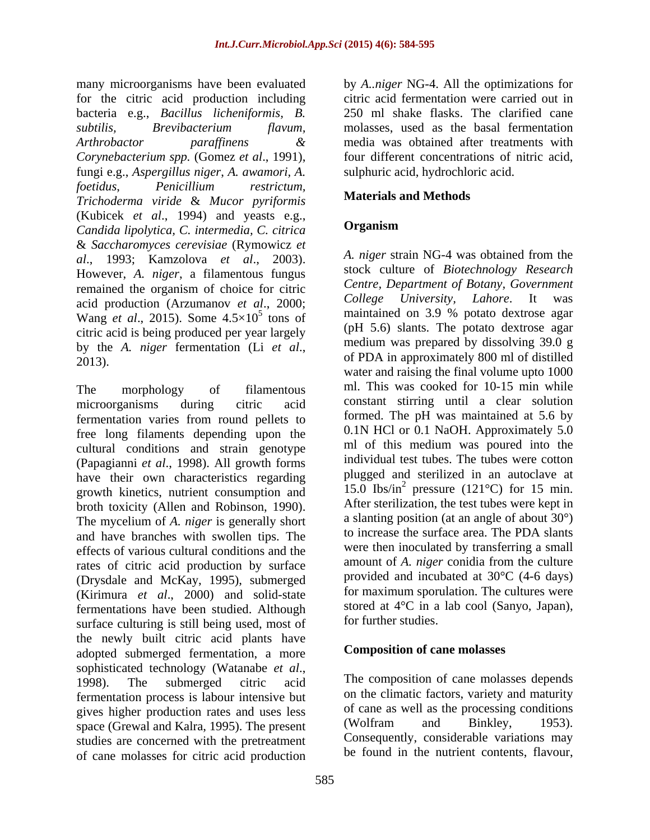many microorganisms have been evaluated by *A..niger* NG-4. All the optimizations for for the citric acid production including citric acid fermentation were carried out in bacteria e.g., *Bacillus licheniformis, B. subtilis, Brevibacterium flavum,* molasses, used as the basal fermentation *Arthrobactor paraffinens* & media was obtained after treatments with *Corynebacterium spp.* (Gomez *et al*., 1991), fungi e.g., *Aspergillus niger*, *A. awamori, A. foetidus*, *Penicillium restrictum, Trichoderma viride* & *Mucor pyriformis* (Kubicek *et al*., 1994) and yeasts e.g., *Candida lipolytica, C. intermedia, C. citrica* & *Saccharomyces cerevisiae* (Rymowicz *et al*., 1993; Kamzolova *et al*., 2003). However, *A. niger*, a filamentous fungus remained the organism of choice for citric Centre, Department of Botany, Government<br>college University, Lahore. It was acid production (Arzumanov *et al*., 2000; Wang *et al.*, 2015). Some  $4.5 \times 10^5$  tons of citric acid is being produced per year largely

The morphology of filamentous ml. This was cooked for 10-15 min while microorganisms during citric acid constant stirring until a clear solution fermentation varies from round pellets to free long filaments depending upon the 0.1N HCl or 0.1 NaOH. Approximately 5.0<br>
cultural conditions and strain conotune in of this medium was poured into the cultural conditions and strain genotype (Papagianni *et al*., 1998). All growth forms have their own characteristics regarding growth kinetics, nutrient consumption and broth toxicity (Allen and Robinson, 1990). The mycelium of *A. niger* is generally short and have branches with swollen tips. The effects of various cultural conditions and the rates of citric acid production by surface (Drysdale and McKay, 1995), submerged (Kirimura *et al*., 2000) and solid-state fermentations have been studied. Although surface culturing is still being used, most of the newly built citric acid plants have adopted submerged fermentation, a more sophisticated technology (Watanabe *et al.*,<br>1998). The submerged citric acid The composition of cane molasses depends fermentation process is labour intensive but gives higher production rates and uses less of cane as well as the processing conditions<br>space (Grewal and Kalra 1995). The present (Wolfram and Binkley, 1953). space (Grewal and Kalra, 1995). The present studies are concerned with the pretreatment of cane molasses for citric acid production

250 ml shake flasks. The clarified cane media was obtained after treatments with four different concentrations of nitric acid, sulphuric acid, hydrochloric acid.

# **Materials and Methods**

# **Organism**

 $\frac{5}{5}$  tons of maintained on 3.9 % potato dextrose agar by the *A. niger* fermentation (Li *et al.*, meanum was prepared by dissolving 39.0 g<br>2013). *A. niger* strain NG-4 was obtained from the stock culture of *Biotechnology Research Centre, Department of Botany, Government College University, Lahore*. It was (pH 5.6) slants. The potato dextrose agar medium was prepared by dissolving 39.0 g of PDA in approximately 800 ml of distilled water and raising the final volume upto 1000 ml. This was cooked for 10-15 min while formed. The pH was maintained at 5.6 by 0.1N HCl or 0.1 NaOH. Approximately 5.0 ml of this medium was poured into the individual test tubes. The tubes were cotton plugged and sterilized in an autoclave at 15.0 Ibs/in<sup>2</sup> pressure (121 $\degree$ C) for 15 min. After sterilization, the test tubes were kept in a slanting position (at an angle of about 30°) to increase the surface area. The PDA slants were then inoculated by transferring a small amount of *A. niger* conidia from the culture provided and incubated at 30°C (4-6 days) for maximum sporulation. The cultures were stored at 4°C in a lab cool (Sanyo, Japan), for further studies.

# **Composition of cane molasses**

The composition of cane molasses depends on the climatic factors, variety and maturity of cane as well as the processing conditions (Wolfram and Binkley, 1953). Consequently, considerable variations may be found in the nutrient contents, flavour,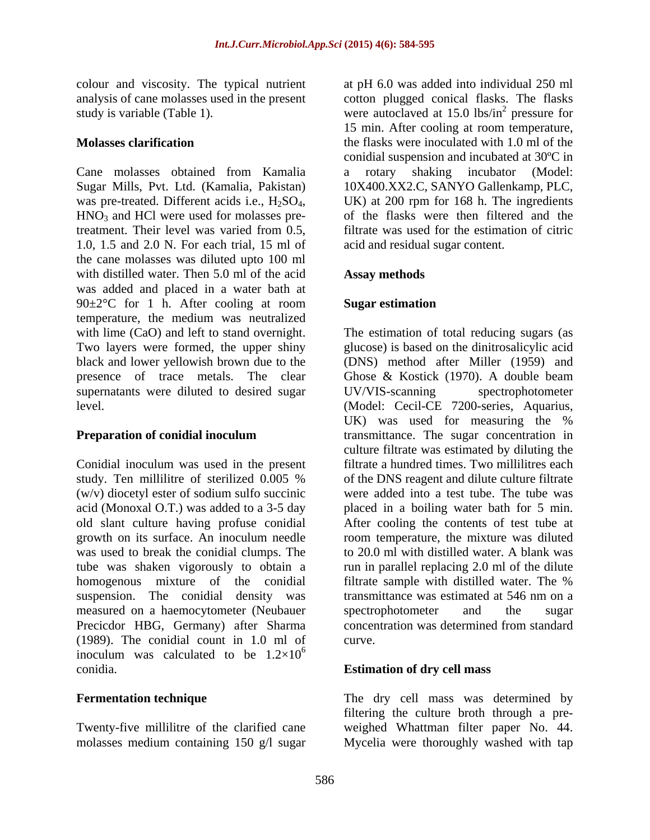colour and viscosity. The typical nutrient analysis of cane molasses used in the present

Cane molasses obtained from Kamalia Sugar Mills, Pvt. Ltd. (Kamalia, Pakistan) was pre-treated. Different acids i.e.,  $H_2SO_4$ , UK) at 200 rpm for 168 h. The ingredients  $HNO_3$  and HCl were used for molasses pre- of the flasks were then filtered and the treatment. Their level was varied from 0.5, 1.0, 1.5 and 2.0 N. For each trial, 15 ml of the cane molasses was diluted upto 100 ml with distilled water. Then 5.0 ml of the acid **Assay methods** was added and placed in a water bath at  $90 \pm 2^{\circ}$ C for 1 h. After cooling at room Sugar estimation temperature, the medium was neutralized black and lower yellowish brown due to the supernatants were diluted to desired sugar UV/VIS-scanning spectrophotometer

Conidial inoculum was used in the present (w/v) diocetyl ester of sodium sulfo succinic was used to break the conidial clumps. The homogenous mixture of the conidial filtrate sample with distilled water. The % measured on a haemocytometer (Neubauer spectrophotometer and the sugar Precicdor HBG, Germany) after Sharma concentration was determined from standard (1989). The conidial count in 1.0 ml of inoculum was calculated to be  $1.2\times10^{6}$ conidia. **Estimation of dry cell mass**

study is variable (Table 1). The vere autoclaved at 15.0 lbs/in<sup>2</sup> pressure for **Molasses clarification** the flasks were inoculated with 1.0 ml of the at pH 6.0 was added into individual 250 ml cotton plugged conical flasks. The flasks  $^2$  programs for pressure for 15 min. After cooling at room temperature, conidial suspension and incubated at 30ºC in a rotary shaking incubator (Model: 10X400.XX2.C, SANYO Gallenkamp, PLC, UK) at 200 rpm for 168 h. The ingredients of the flasks were then filtered and the filtrate was used for the estimation of citric acid and residual sugar content.

# **Assay methods**

# **Sugar estimation**

with lime (CaO) and left to stand overnight. The estimation of total reducing sugars (as Two layers were formed, the upper shiny glucose) is based on the dinitrosalicylic acid presence of trace metals. The clear Ghose & Kostick (1970). A double beam level. (Model: Cecil-CE 7200-series, Aquarius, **Preparation of conidial inoculum** transmittance. The sugar concentration in study. Ten millilitre of sterilized 0.005 % of the DNS reagent and dilute culture filtrate acid (Monoxal O.T.) was added to a 3-5 day placed in a boiling water bath for 5 min. old slant culture having profuse conidial After cooling the contents of test tube at growth on its surface. An inoculum needle room temperature, the mixture was diluted tube was shaken vigorously to obtain a run in parallel replacing 2.0 ml of the dilute suspension. The conidial density was transmittance was estimated at 546 nm on a  $6\,$ (DNS) method after Miller (1959) and UV/VIS-scanning spectrophotometer UK) was used for measuring the % transmittance. The sugar concentration in culture filtrate was estimated by diluting the filtrate a hundred times. Two millilitres each of the DNS reagent and dilute culture filtrate were added into a test tube. The tube was to 20.0 ml with distilled water. A blank was filtrate sample with distilled water. The % spectrophotometer and the sugar concentration was determined from standard curve.

**Fermentation technique** The dry cell mass was determined by Twenty-five millilitre of the clarified cane weighed Whattman filter paper No. 44. molasses medium containing 150 g/l sugar Mycelia were thoroughly washed with tapfiltering the culture broth through a pre-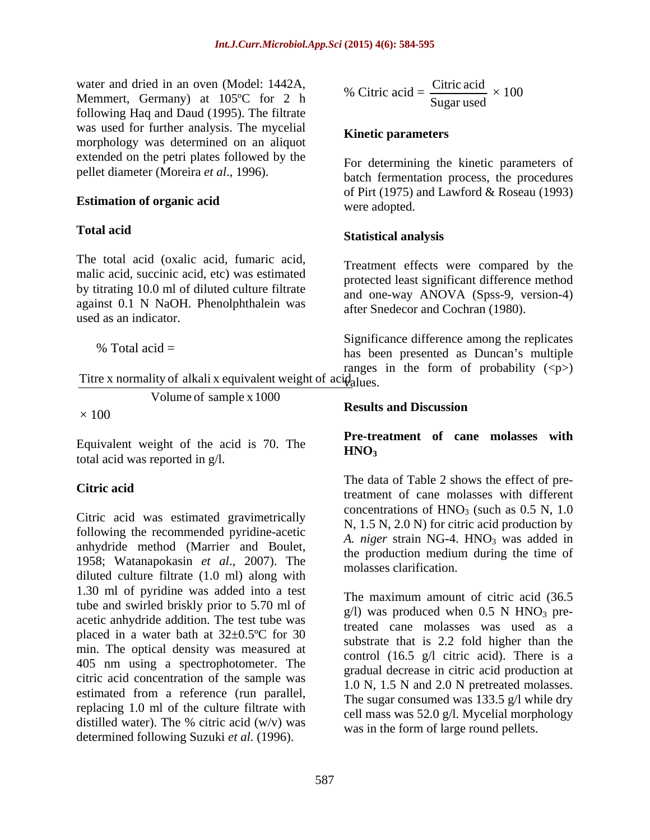water and dried in an oven (Model: 1442A, Memmert, Germany) at 105ºC for 2 h following Haq and Daud (1995). The filtrate was used for further analysis. The mycelial morphology was determined on an aliquot extended on the petri plates followed by the pellet diameter (Moreira *et al*., 1996).

The total acid (oxalic acid, fumaric acid, malic acid, succinic acid, etc) was estimated by titrating 10.0 ml of diluted culture filtrate against 0.1 N NaOH. Phenolphthalein was used as an indicator.

Titre x normality of alkali x equivalent weight of acidatues.

Volume of sample x 1000

Equivalent weight of the acid is 70. The  $HNO<sub>3</sub>$ total acid was reported in g/l.

Citric acid was estimated gravimetrically following the recommended pyridine-acetic anhydride method (Marrier and Boulet, 1958; Watanapokasin *et al*., 2007). The diluted culture filtrate (1.0 ml) along with 1.30 ml of pyridine was added into a test tube and swirled briskly prior to 5.70 ml of acetic anhydride addition. The test tube was placed in a water bath at  $32\pm0.5^{\circ}$ C for 30 min. The optical density was measured at 405 nm using a spectrophotometer. The citric acid concentration of the sample was estimated from a reference (run parallel, replacing 1.0 ml of the culture filtrate with determined following Suzuki *et al*. (1996).

% Citric acid = 
$$
\frac{\text{Citric acid}}{\text{Sugar used}} \times 100
$$

## **Kinetic parameters**

**Estimation of organic acid** For determining the kinetic parameters of batch fermentation process, the procedures of Pirt (1975) and Lawford & Roseau (1993) were adopted.

## **Total acid Statistical analysis**

Treatment effects were compared by the protected least significant difference method and one-way ANOVA (Spss-9, version-4) after Snedecor and Cochran (1980).

% Total acid = has been presented as Duncan's multiple Significance difference among the replicates ranges in the form of probability  $(\langle p \rangle)$  $\theta$ alues.

## $\times 100$ **Results and Discussion**

# **Pre-treatment of cane molasses with**  $HNO<sub>3</sub>$

**Citric acid**treatment of cane molasses with different
tric acid The data of Table 2 shows the effect of preconcentrations of  $HNO<sub>3</sub>$  (such as 0.5 N, 1.0) N, 1.5 N, 2.0 N) for citric acid production by *A. niger* strain NG-4. HNO<sub>3</sub> was added in the production medium during the time of molasses clarification.

distilled water). The % citric acid  $(w/v)$  was  $w$  was in the form of large round pollots The maximum amount of citric acid (36.5  $g/l$ ) was produced when 0.5 N HNO<sub>3</sub> pretreated cane molasses was used as a substrate that is 2.2 fold higher than the control (16.5 g/l citric acid). There is a gradual decrease in citric acid production at 1.0 N, 1.5 N and 2.0 N pretreated molasses. The sugar consumed was 133.5 g/l while dry cell mass was 52.0 g/l. Mycelial morphology was in the form of large round pellets.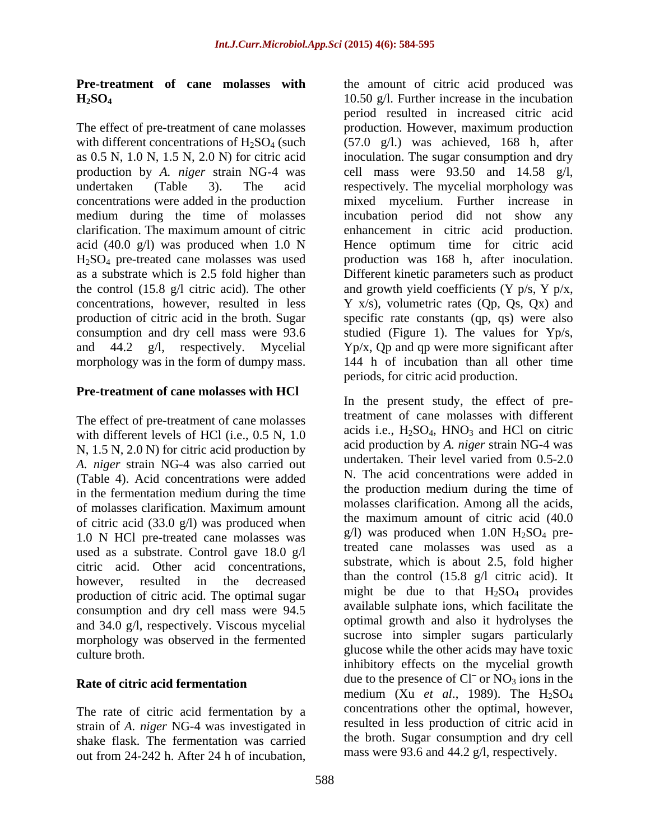concentrations were added in the production morphology was in the form of dumpy mass.

# **Pre-treatment of cane molasses with HCl**

The effect of pre-treatment of cane molasses with different levels of HCl (i.e., 0.5 N, 1.0 N,  $1.5$  N,  $2.0$  N) for citric acid production by acid production by A. *niger* strain NG-4 was<br>
a minimum and production by A. *niger* strain NG-4 was<br>
a undertaken. Their level varied from 0.5-2.0 *A. niger* strain NG-4 was also carried out (Table 4). Acid concentrations were added in the fermentation medium during the time of molasses clarification. Maximum amount molasses clarification. Among all the acids,<br>of citric acid  $(22.0 \text{ s}$ . The maximum amount of citric acid  $(40.0 \text{ s}$ of citric acid (33.0 g/l) was produced when 1.0 N HCl pre-treated cane molasses was used as a substrate. Control gave 18.0 g/l citric acid. Other acid concentrations, production of citric acid. The optimal sugar consumption and dry cell mass were 94.5 and 34.0 g/l, respectively. Viscous mycelial morphology was observed in the fermented

The rate of citric acid fermentation by a strain of *A. niger* NG-4 was investigated in shake flask. The fermentation was carried out from 24-242 h. After 24 h of incubation,

**Pre-treatment of cane molasses with** the amount of citric acid produced was **H2SO4** 10.50 g/l. Further increase in the incubation The effect of pre-treatment of cane molasses production. However, maximum production with different concentrations of  $H_2SO_4$  (such (57.0 g/l.) was achieved, 168 h, after as 0.5 N, 1.0 N, 1.5 N, 2.0 N) for citric acid inoculation. The sugar consumption and dry production by *A. niger* strain NG-4 was cell mass were 93.50 and 14.58 g/l, undertaken (Table 3). The acid respectively. The mycelial morphology was medium during the time of molasses incubation period did not show any clarification. The maximum amount of citric enhancement in citric acid production. acid (40.0 g/l) was produced when 1.0 N Hence optimum time for citric acid H2SO4 pre-treated cane molasses was used production was 168 h, after inoculation. as a substrate which is 2.5 fold higher than Different kinetic parameters such as product the control (15.8 g/l citric acid). The other and growth yield coefficients (Y p/s, Y p/x, concentrations, however, resulted in less Y x/s), volumetric rates (Qp, Qs, Qx) and production of citric acid in the broth. Sugar specific rate constants (qp, qs) were also consumption and dry cell mass were 93.6 studied (Figure 1). The values for Yp/s, and 44.2 g/l, respectively. Mycelial Yp/x, Qp and qp were more significant after period resulted in increased citric acid mixed mycelium. Further increase in 144 h of incubation than all other time periods, for citric acid production.

however, resulted in the decreased  $\frac{\text{man the control (13.8 g/T cluric acid)} }{\text{man the control (13.8 g/T cluric acid)}}$ culture broth. glucose while the other acids may have toxic **Rate of citric acid fermentation** and the presence of CI or NO<sub>3</sub> lons in the In the present study, the effect of pretreatment of cane molasses with different acids i.e.,  $H_2SO_4$ ,  $HNO_3$  and HCl on citric acid production by *A. niger* strain NG-4 was undertaken. Their level varied from 0.5-2.0 N. The acid concentrations were added in the production medium during the time of molasses clarification. Among all the acids, the maximum amount of citric acid (40.0  $g/l$ ) was produced when 1.0N H<sub>2</sub>SO<sub>4</sub> pretreated cane molasses was used as a substrate, which is about 2.5, fold higher than the control (15.8 g/l citric acid). It might be due to that  $H_2SO_4$  provides available sulphate ions, which facilitate the optimal growth and also it hydrolyses the sucrose into simpler sugars particularly inhibitory effects on the mycelial growth due to the presence of  $CI<sup>-</sup>$  or  $NO<sub>3</sub>$  ions in the medium (Xu *et al.*, 1989). The H<sub>2</sub>SO<sub>4</sub> concentrations other the optimal, however, resulted in less production of citric acid in the broth. Sugar consumption and dry cell mass were 93.6 and 44.2 g/l, respectively.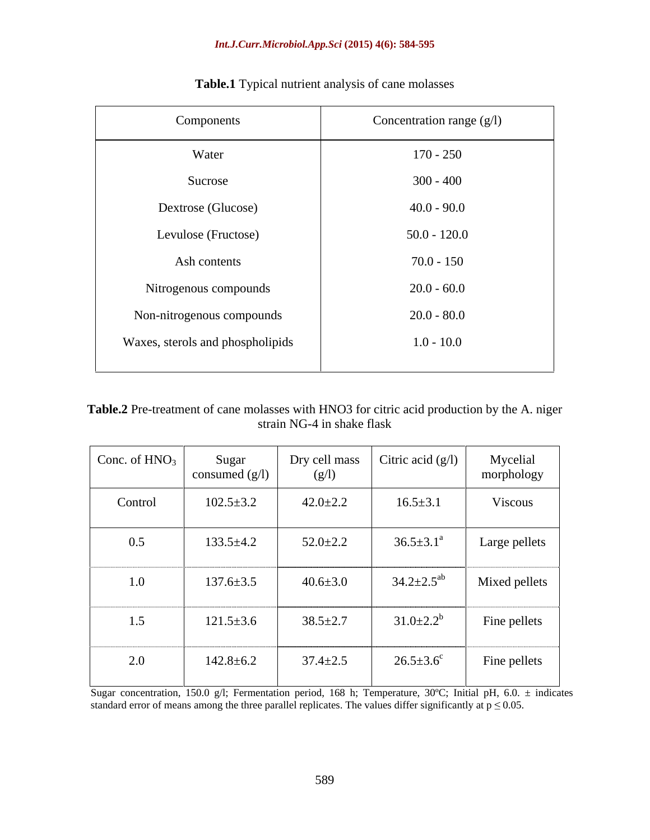| Components                       | Concentration range $(g/l)$ |
|----------------------------------|-----------------------------|
| Water                            | $170 - 250$                 |
| Sucrose                          | $300 - 400$                 |
| Dextrose (Glucose)               | $40.0 - 90.0$               |
| Levulose (Fructose)              | $50.0 - 120.0$              |
| Ash contents                     | $70.0 - 150$                |
| Nitrogenous compounds            | $20.0 - 60.0$               |
| Non-nitrogenous compounds        | $20.0 - 80.0$               |
| Waxes, sterols and phospholipids | $1.0 - 10.0$                |
|                                  |                             |

**Table.1** Typical nutrient analysis of cane molasses

| Table.2 Pre-treatment of cane molasses with HNO3 for citric a<br>. A. mee $r$<br>ic acid production by<br>ιτ th∆ |  |
|------------------------------------------------------------------------------------------------------------------|--|
| NG.<br>i shake flask<br>uaill i vo                                                                               |  |

| Conc. of $HNO3$ | Sugar<br>consumed $(g/l)$ | Dry cell mass<br>(g/l) | Citric acid $(g/l)$    | Mycelial<br>morphology |
|-----------------|---------------------------|------------------------|------------------------|------------------------|
| Control         | $102.5 \pm 3.2$           | $42.0 \pm 2.2$         | $16.5 \pm 3.1$         | Viscous                |
| 0.5             | $133.5+4.2$               | $52.0 \pm 2.2$         | $36.5 \pm 3.1^{\circ}$ | Large pellets          |
| 1.0             | $137.6 \pm 3.5$           | $40.6 \pm 3.0$         | $34.2 \pm 2.5^{ab}$    | Mixed pellets          |
| 1.5             | $121.5 \pm 3.6$           | $38.5 \pm 2.7$         | $31.0 \pm 2.2^b$       | Fine pellets           |
| 2.0             | $142.8 \pm 6.2$           | $37.4 \pm 2.5$         | $26.5 \pm 3.6^c$       | Fine pellets           |

Sugar concentration, 150.0 g/l; Fermentation period, 168 h; Temperature, 30ºC; Initial pH, 6.0. ± indicates standard error of means among the three parallel replicates. The values differ significantly at  $p \le 0.05$ .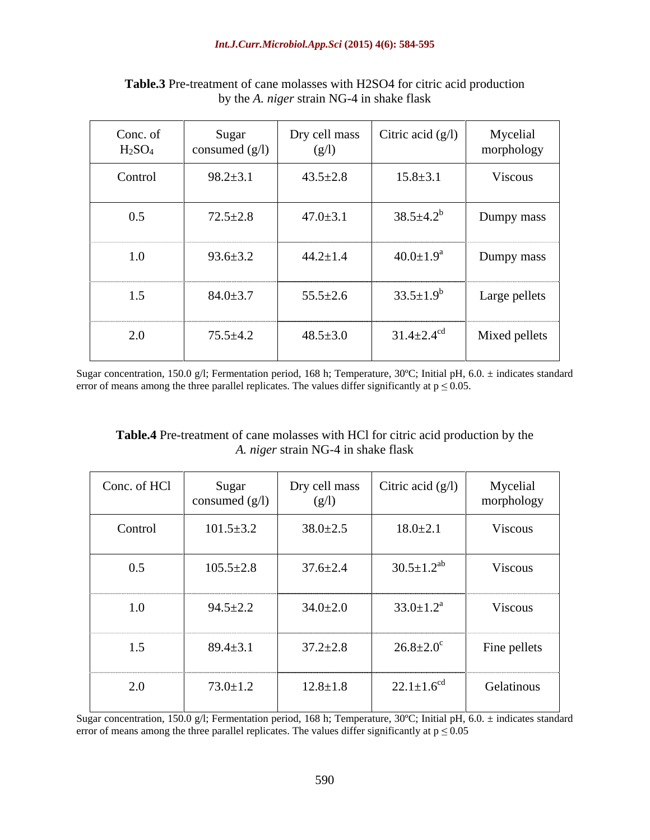| Conc. of<br>H <sub>2</sub> SO <sub>4</sub> | Sugar<br>consumed $(g/l)$ | Dry cell mass<br>(g/l) | Citric acid $(g/l)$          | Mycelial<br>morphology |
|--------------------------------------------|---------------------------|------------------------|------------------------------|------------------------|
| Control                                    | $98.2 \pm 3.1$            | $43.5 \pm 2.8$         | $15.8 \pm 3.1$               | Viscous                |
| 0.5                                        | $72.5 \pm 2.8$            | $47.0 \pm 3.1$         | $38.5 \pm 4.2^b$             | Dumpy mass             |
| 1.0                                        | $93.6 \pm 3.2$            | $44.2 \pm 1.4$         | $40.0 \pm 1.9^{\text{a}}$    | Dumpy mass             |
| 1.5                                        | $84.0 \pm 3.7$            | $55.5 \pm 2.6$         | $33.5 \pm 1.9^b$             | Large pellets          |
| 2.0                                        | $75.5 \pm 4.2$            | $48.5 \pm 3.0$         | $31.4 \pm 2.4$ <sup>cd</sup> | Mixed pellets          |

**Table.3** Pre-treatment of cane molasses with H2SO4 for citric acid production by the *A. niger* strain NG-4 in shake flask

Sugar concentration, 150.0 g/l; Fermentation period, 168 h; Temperature, 30ºC; Initial pH, 6.0. ± indicates standard error of means among the three parallel replicates. The values differ significantly at  $p \le 0.05$ .

| <b>Table.4</b> Pre-treatment of cane molasses with HCl for citric acid production by the |  |
|------------------------------------------------------------------------------------------|--|
| , 7 <b>m</b><br>A. <i>niger</i> strain NG-4 in shake flask                               |  |

| Conc. of HCl | Sugar<br>consumed $(g/l)$ | Dry cell mass<br>(g/l) | Citric acid $(g/l)$          | Mycelial<br>morphology |
|--------------|---------------------------|------------------------|------------------------------|------------------------|
| Control      | $101.5 \pm 3.2$           | $38.0 \pm 2.5$         | $18.0 \pm 2.1$               | Viscous                |
| 0.5          | $105.5 \pm 2.8$           | $37.6 \pm 2.4$         | $30.5 \pm 1.2$ <sup>ab</sup> | Viscous                |
| 1.0          | $94.5 \pm 2.2$            | $34.0 \pm 2.0$         | $33.0 \pm 1.2^{\text{a}}$    | Viscous                |
| 1.5          | $89.4 \pm 3.1$            | $37.2 \pm 2.8$         | $26.8 \pm 2.0^{\circ}$       | Fine pellets           |
| 2.0          | $73.0 \pm 1.2$            | $12.8 \pm 1.8$         | $22.1 \pm 1.6$ <sup>cd</sup> | Gelatinous             |

Sugar concentration, 150.0 g/l; Fermentation period, 168 h; Temperature, 30ºC; Initial pH, 6.0. ± indicates standard error of means among the three parallel replicates. The values differ significantly at  $p \le 0.05$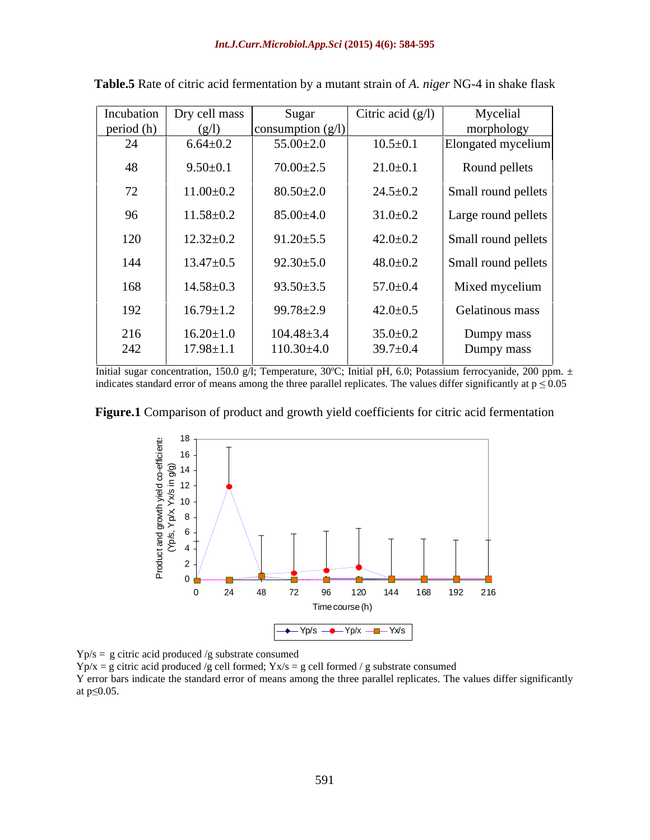|            | Incubation   Dry cell mass | Sugar               | Citric acid $(g/l)$ | Mycelial            |
|------------|----------------------------|---------------------|---------------------|---------------------|
| period (h) | (g/l)                      | consumption $(g/l)$ |                     | morphology          |
| 24         | $6.64 \pm 0.2$             | $55.00 \pm 2.0$     | $10.5 \pm 0.1$      | Elongated mycelium  |
| 48         | $9.50 \pm 0.1$             | $70.00 \pm 2.5$     | $21.0 \pm 0.1$      | Round pellets       |
| 72         | $11.00 \pm 0.2$            | $80.50 \pm 2.0$     | $24.5 \pm 0.2$      | Small round pellets |
| 96         | $11.58 \pm 0.2$            | $85.00 \pm 4.0$     | $31.0 \pm 0.2$      | Large round pellets |
| 120        | $12.32 \pm 0.2$            | $91.20 \pm 5.5$     | $42.0 \pm 0.2$      | Small round pellets |
| 144        | $13.47 \pm 0.5$            | $92.30 \pm 5.0$     | $48.0 \pm 0.2$      | Small round pellets |
| 168        | $14.58 \pm 0.3$            | $93.50 \pm 3.5$     | $57.0 \pm 0.4$      | Mixed mycelium      |
| 192        | $16.79 \pm 1.2$            | $99.78 \pm 2.9$     | $42.0 \pm 0.5$      | Gelatinous mass     |
| 216        | $16.20 \pm 1.0$            | $104.48 \pm 3.4$    | $35.0 \pm 0.2$      | Dumpy mass          |
| 242        | $17.98 \pm 1.1$            | $110.30 \pm 4.0$    | $39.7 \pm 0.4$      | Dumpy mass          |

**Table.5** Rate of citric acid fermentation by a mutant strain of *A. niger* NG-4 in shake flask

Initial sugar concentration, 150.0 g/l; Temperature, 30°C; Initial pH, 6.0; Potassium ferrocyanide, 200 ppm. ± indicates standard error of means among the three parallel replicates. The values differ significantly at  $p \le 0.05$ 

**Figure.1** Comparison of product and growth yield coefficients for citric acid fermentation



Yp/s = g citric acid produced /g substrate consumed

 $Yp/x = g$  citric acid produced /g cell formed;  $Yx/s = g$  cell formed / g substrate consumed Y error bars indicate the standard error of means among the three parallel replicates. The values differ significantly at  $p \le 0.05$ .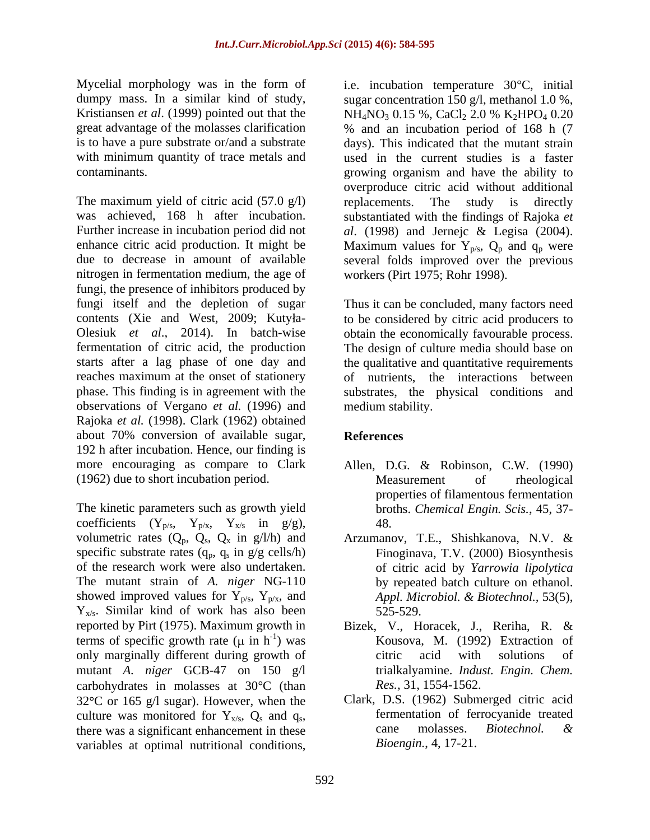Mycelial morphology was in the form of i.e. incubation temperature 30°C, initial Kristiansen *et al.* (1999) pointed out that the NH<sub>4</sub>NO<sub>3</sub> 0.15 %, CaCl<sub>2</sub> 2.0 % K<sub>2</sub>HPO<sub>4</sub> 0.20

The maximum yield of citric acid  $(57.0 \text{ g/l})$  replacements. The study is directly was achieved, 168 h after incubation. nitrogen in fermentation medium, the age of fungi, the presence of inhibitors produced by fungi itself and the depletion of sugar contents (Xie and West, 2009; Kutyła- to be considered by citric acid producers to Olesiuk *et al*., 2014). In batch-wise obtain the economically favourable process. fermentation of citric acid, the production The design of culture media should base on starts after a lag phase of one day and reaches maximum at the onset of stationery phase. This finding is in agreement with the substrates, the physical conditions and observations of Vergano *et al.* (1996) and Rajoka *et al.* (1998). Clark (1962) obtained about 70% conversion of available sugar, 192 h after incubation. Hence, our finding is more encouraging as compare to Clark (1962) due to short incubation period.

The kinetic parameters such as growth yield coefficients  $(Y_{p/s}, Y_{p/x}, Y_{x/s} \text{ in } g/g)$ , 48. volumetric rates  $(Q_p, \dot{Q}_s, Q_x \text{ in } g/l/h)$  and specific substrate rates  $(q_p, q_s \text{ in } g/g \text{ cells/h})$ of the research work were also undertaken. The mutant strain of *A. niger* NG-110 showed improved values for  $Y_{p/s}$ ,  $Y_{p/x}$ , and *Appl. Microbiol. & Biotechnol.*, 53(5),  $Y_{x/s}$ . Similar kind of work has also been  $525-529$ . reported by Pirt (1975). Maximum growth in Bizek, V., Horacek, J., Reriha, R. & terms of specific growth rate  $(\mu$  in h<sup>-1</sup>) was only marginally different during growth of citric acid with solutions of mutant *A. niger* GCB-47 on 150 g/l carbohydrates in molasses at 30°C (than  $32^{\circ}$ C or 165 g/l sugar). However, when the culture was monitored for  $Y_{x/s}$ ,  $Q_s$  and  $q_s$ , there was a significant enhancement in these cane molasses. *Biotechnol*. & variables at optimal nutritional conditions,

dumpy mass. In a similar kind of study, sugar concentration 150 g/l, methanol 1.0 %, great advantage of the molasses clarification % and an incubation period of 168 h (7 is to have a pure substrate or/and a substrate days). This indicated that the mutant strain with minimum quantity of trace metals and used in the current studies is a faster contaminants. growing organism and have the ability to Further increase in incubation period did not *al*. (1998) and Jernejc & Legisa (2004). enhance citric acid production. It might be Maximum values for  $Y_{p/s}$ ,  $Q_p$  and  $q_p$  were due to decrease in amount of available several folds improved over the previous  $NH_4NO_3$  0.15 %, CaCl<sub>2</sub> 2.0 % K<sub>2</sub>HPO<sub>4</sub> 0.20 overproduce citric acid without additional replacements. The study is directly substantiated with the findings of Rajoka *et*  workers (Pirt 1975; Rohr 1998).

> Thus it can be concluded, many factors need the qualitative and quantitative requirements of nutrients, the interactions between medium stability.

# **References**

- Allen, D.G. & Robinson, C.W. (1990) Measurement of rheological properties of filamentous fermentation broths. *Chemical Engin. Scis.*, 45, 37- 48.
- Arzumanov, T.E., Shishkanova, N.V. & Finoginava, T.V. (2000) Biosynthesis of citric acid by *Yarrowia lipolytica* by repeated batch culture on ethanol. *Appl. Microbiol. & Biotechnol.,* 53(5), 525-529.
- -1 ) was Kousova, M. (1992) Extraction of citric acid with solutions of trialkalyamine. *Indust. Engin. Chem. Res.,* 31, 1554-1562.
	- Clark, D.S. (1962) Submerged citric acid fermentation of ferrocyanide treated cane molasses. *Biotechnol. & Bioengin.*, 4, 17-21.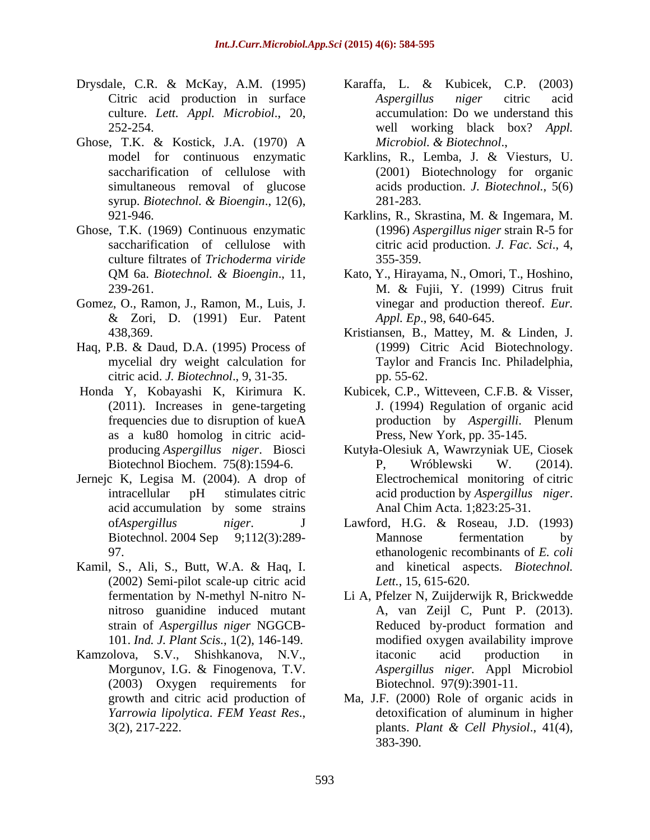- culture. *Lett. Appl. Microbiol*., 20,
- Ghose, T.K. & Kostick, J.A. (1970) A *Microbiol*. & Biotechnol.,
- Ghose, T.K. (1969) Continuous enzymatic culture filtrates of *Trichoderma viride*
- Gomez, O., Ramon, J., Ramon, M., Luis, J. & Zori, D. (1991) Eur. Patent
- Haq, P.B. & Daud, D.A. (1995) Process of citric acid. *J. Biotechnol*., 9, 31-35.
- as a ku80 homolog in citric acid-
- Jernejc K, Legisa M. (2004). A drop of acid accumulation by some strains
- Kamil, S., Ali, S., Butt, W.A. & Haq, I. (2002) Semi-pilot scale-up citric acid
- Kamzolova, S.V., Shishkanova, N.V., (2003) Oxygen requirements for
- Drysdale, C.R. & McKay, A.M. (1995) Karaffa, L. & Kubicek, C.P. (2003) Citric acid production in surface Aspergillus niger citric acid 252-254. well working black box? *Appl. Aspergillus niger* citric acid accumulation: Do we understand this
	- model for continuous enzymatic Karklins, R., Lemba, J. & Viesturs, U. saccharification of cellulose with (2001) Biotechnology for organic simultaneous removal of glucose acids production. *J. Biotechnol.*, 5(6) syrup. *Biotechnol. & Bioengin*., 12(6), *Microbiol. & Biotechnol*., Karklins, R., Lemba, J. & Viesturs, U. 281-283.
	- 921-946. Karklins, R., Skrastina, M. & Ingemara, M. saccharification of cellulose with citric acid production. *J. Fac. Sci*., 4, (1996) *Aspergillus niger* strain R-5 for 355-359.
	- QM 6a. *Biotechnol. & Bioengin.*, 11, Kato, Y., Hirayama, N., Omori, T., Hoshino, 239-261. M. & Fujii, Y. (1999) Citrus fruit Kato, Y., Hirayama, N., Omori, T., Hoshino, M. & Fujii, Y. (1999) Citrus fruit vinegar and production thereof. *Eur. Appl. Ep*., 98, 640-645.
	- 438,369. Kristiansen, B., Mattey, M. & Linden, J. mycelial dry weight calculation for Taylor and Francis Inc. Philadelphia, (1999) Citric Acid Biotechnology. pp. 55-62.
- Honda Y, Kobayashi K, Kirimura K. Kubicek, C.P., Witteveen, C.F.B. & Visser, (2011). Increases in gene-targeting J. (1994) Regulation of organic acid frequencies due to disruption of kueA production by Aspergilli. Plenum production by *Aspergilli*. Plenum Press, New York, pp. 35-145.
	- producing *Aspergillus niger*. Biosci Kutyła-Olesiuk A, Wawrzyniak UE, Ciosek Biotechnol Biochem. 75(8):1594-6. <br>P. Wróblewski W. (2014). intracellular pH stimulates citric acid production by *Aspergillus niger*. P, Wróblewski W. (2014). Electrochemical monitoring of citric Anal Chim Acta. 1;823:25-31.
	- of*Aspergillus niger*. J Lawford, H.G. & Roseau, J.D. (1993) Biotechnol. 2004 Sep 9;112(3):289-<br>
	Mannose fermentation by 97. ethanologenic recombinants of *E. coli* Mannose fermentation by and kinetical aspects. *Biotechnol. Lett.*, 15, 615-620.
	- fermentation by N-methyl N-nitro N- Li A, Pfelzer N, Zuijderwijk R, Brickwedde nitroso guanidine induced mutant A, van Zeijl C, Punt P. (2013). strain of *Aspergillus niger* NGGCB- Reduced by-product formation and 101. *Ind. J. Plant Scis.*, 1(2), 146-149. modified oxygen availability improve Morgunov, I.G. & Finogenova, T.V. *Aspergillus niger*. Appl Microbiol itaconic acid production in *Aspergillus niger.* Appl Microbiol Biotechnol. 97(9):3901-11.
	- growth and citric acid production of Ma, J.F. (2000) Role of organic acids in *Yarrowia lipolytica*. *FEM Yeast Res*., 3(2), 217-222. detoxification of aluminum in higher plants. *Plant & Cell Physiol*., 41(4), 383-390.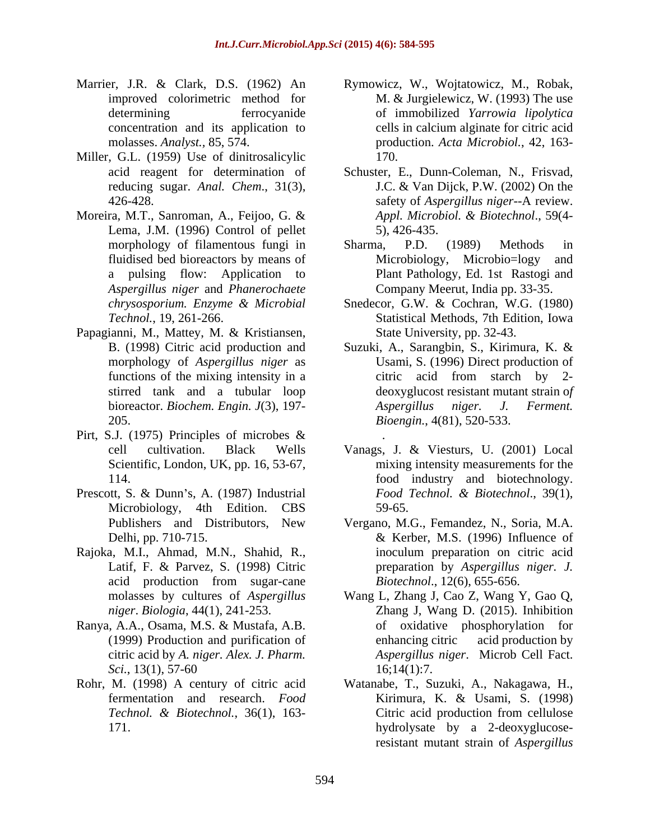- Marrier, J.R. & Clark, D.S. (1962) An Rymowicz, W., Wojtatowicz, M., Robak,
- Miller, G.L. (1959) Use of dinitrosalicylic 170.
- Moreira, M.T., Sanroman, A., Feijoo, G. & Lema, J.M. (1996) Control of pellet 5), 426-435. *Aspergillus niger* and *Phanerochaete*
- Papagianni, M., Mattey, M. & Kristiansen, stirred tank and a tubular loop
- Pirt, S.J. (1975) Principles of microbes & Scientific, London, UK, pp. 16, 53-67,
- Prescott, S. & Dunn's, A. (1987) Industrial Food Technol. & Biotechnol., 39(1),
- Rajoka, M.I., Ahmad, M.N., Shahid, R.,
- Ranya, A.A., Osama, M.S. & Mustafa, A.B.
- 
- improved colorimetric method for M. & Jurgielewicz, W. (1993) The use determining ferrocyanide of immobilized *Yarrowia lipolytica* concentration and its application to eells in calcium alginate for citric acid molasses. *Analyst.,* 85, 574. production. *Acta Microbiol.*, 42, 163 cells in calcium alginate for citric acid 170.
- acid reagent for determination of Schuster, E., Dunn-Coleman, N., Frisvad, reducing sugar. *Anal. Chem*., 31(3), J.C. & Van Dijck, P.W. (2002) On the 426-428. safety of Aspergillus niger--A review.<br>ra, M.T., Sanroman, A., Feijoo, G. & Appl. Microbiol. & Biotechnol., 59(4safety of *Aspergillus niger*--A review. *Appl. Microbiol. & Biotechnol*., 59(4- 5), 426-435.
- morphology of filamentous fungi in Sharma, P.D. (1989) Methods in fluidised bed bioreactors by means of Microbiology, Microbio=logy and a pulsing flow: Application to Plant Pathology, Ed. 1st Rastogi and Sharma, P.D. (1989) Methods in Microbiology, Microbio=logy Company Meerut, India pp. 33-35.
- *chrysosporium. Enzyme & Microbial* Snedecor, G.W. & Cochran, W.G. (1980) *Technol.*, 19, 261-266. Statistical Methods, 7th Edition, Iowa State University, pp. 32-43.
- B. (1998) Citric acid production and Suzuki, A., Sarangbin, S., Kirimura, K. & morphology of *Aspergillus niger* as Usami, S. (1996) Direct production of functions of the mixing intensity in a citric acid from starch by 2bioreactor. *Biochem. Engin. J*(3), 197- 205. *Bioengin.*, 4(81), 520-533. deoxyglucost resistant mutant strain o*f Aspergillus niger. J. Ferment.*
- cell cultivation. Black Wells Vanags, J. & Viesturs, U. (2001) Local 114. food industry and biotechnology. Microbiology, 4th Edition. CBS . A construction of the construction of the construction of the construction of the construction of the construction of the construction of the construction of the construction of the construction of the construction of th mixing intensity measurements for the *Food Technol. & Biotechnol*., 39(1), 59-65.
- Publishers and Distributors, New Vergano, M.G., Femandez, N., Soria, M.A. Delhi, pp. 710-715.  $\&$  Kerber, M.S. (1996) Influence of Latif, F. & Parvez, S. (1998) Citric **entity preparation** by Aspergillus niger. J. acid production from sugar-cane *Biotechnol.*, 12(6), 655-656. & Kerber, M.S. (1996) Influence of inoculum preparation on citric acid preparation by *Aspergillus niger. J. Biotechnol*., 12(6), 655-656.
- molasses by cultures of *Aspergillus*  Wang L, Zhang J, Cao Z, Wang Y, Gao Q, *niger*. *Biologia*, 44(1), 241-253. Zhang J, Wang D. (2015). Inhibition (1999) Production and purification of citric acid by *A. niger. Alex. J. Pharm. Aspergillus niger*. Microb Cell Fact. *Sci.*, 13(1), 57-60 16;14(1):7. of oxidative phosphorylation for enhancing citric acid production by 16;14(1):7.
- Rohr, M. (1998) A century of citric acid Watanabe, T., Suzuki, A., Nakagawa, H., fermentation and research. *Food Technol. & Biotechnol.*, 36(1), 163- 171. hydrolysate by a 2-deoxyglucose-Kirimura, K. & Usami, S. (1998) Citric acid production from cellulose resistant mutant strain of *Aspergillus*